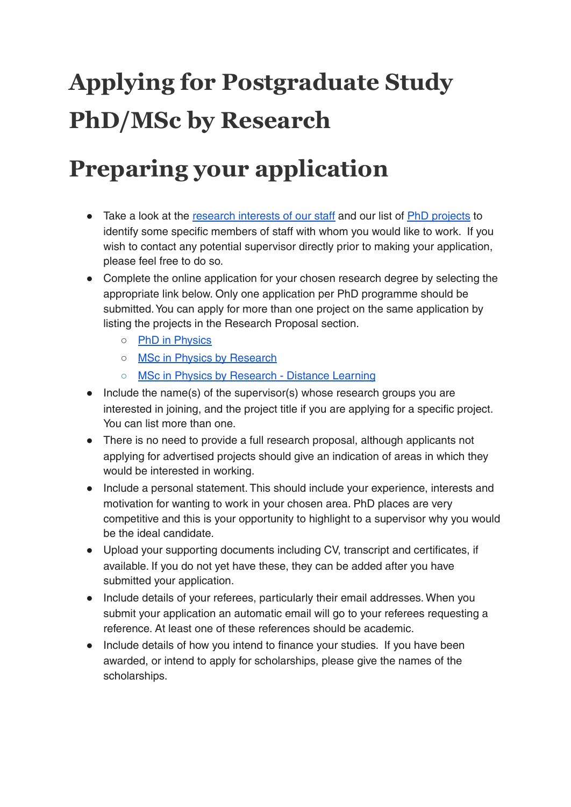# **Applying for Postgraduate Study PhD/MSc by Research**

### **Preparing your application**

- Take a look at the [research](https://www.york.ac.uk/physics/postgraduate/supervisors/) interests of our staff and our list of PhD [projects](https://www.york.ac.uk/physics/postgraduate/phd-projects/) to identify some specific members of staff with whom you would like to work. If you wish to contact any potential supervisor directly prior to making your application, please feel free to do so.
- Complete the online application for your chosen research degree by selecting the appropriate link below. Only one application per PhD programme should be submitted.You can apply for more than one project on the same application by listing the projects in the Research Proposal section.
	- PhD in [Physics](https://www.york.ac.uk/study/postgraduate/courses/apply?course=DRPPHYSPHY3)
	- o MSc in Physics by [Research](https://www.york.ac.uk/study/postgraduate/courses/apply?course=DRMPHYSPHY1)
	- MSc in Physics by [Research](https://www.york.ac.uk/study/postgraduate/courses/apply?course=DRMPHYSPDL1) Distance Learning
- Include the name(s) of the supervisor(s) whose research groups you are interested in joining, and the project title if you are applying for a specific project. You can list more than one.
- There is no need to provide a full research proposal, although applicants not applying for advertised projects should give an indication of areas in which they would be interested in working.
- Include a personal statement. This should include your experience, interests and motivation for wanting to work in your chosen area. PhD places are very competitive and this is your opportunity to highlight to a supervisor why you would be the ideal candidate.
- Upload your supporting documents including CV, transcript and certificates, if available. If you do not yet have these, they can be added after you have submitted your application.
- Include details of your referees, particularly their email addresses. When you submit your application an automatic email will go to your referees requesting a reference. At least one of these references should be academic.
- Include details of how you intend to finance your studies. If you have been awarded, or intend to apply for scholarships, please give the names of the scholarships.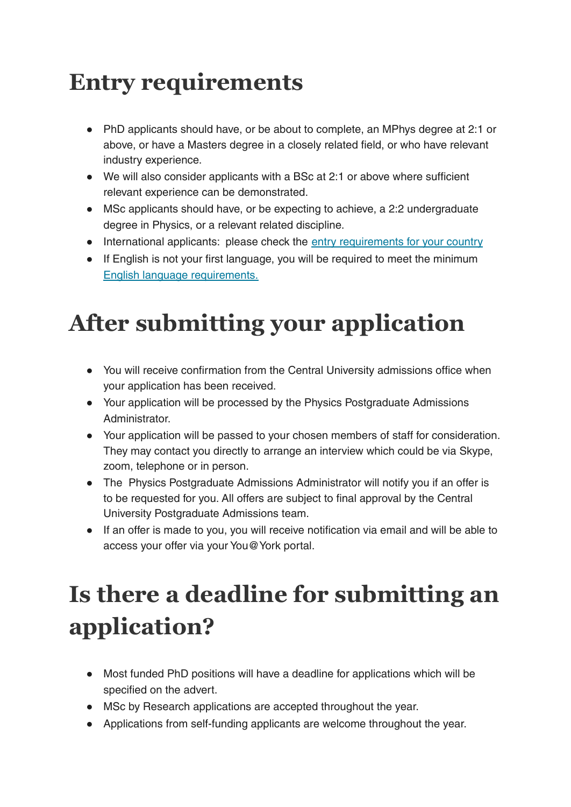### **Entry requirements**

- PhD applicants should have, or be about to complete, an MPhys degree at 2:1 or above, or have a Masters degree in a closely related field, or who have relevant industry experience.
- We will also consider applicants with a BSc at 2:1 or above where sufficient relevant experience can be demonstrated.
- MSc applicants should have, or be expecting to achieve, a 2:2 undergraduate degree in Physics, or a relevant related discipline.
- International applicants: please check the entry [requirements](https://www.york.ac.uk/study/international/your-country/) for your country
- If English is not your first language, you will be required to meet the minimum English language [requirements](https://www.york.ac.uk/study/postgraduate-research/apply/international/english/).

## **After submitting your application**

- You will receive confirmation from the Central University admissions office when your application has been received.
- Your application will be processed by the Physics Postgraduate Admissions Administrator.
- Your application will be passed to your chosen members of staff for consideration. They may contact you directly to arrange an interview which could be via Skype, zoom, telephone or in person.
- The Physics Postgraduate Admissions Administrator will notify you if an offer is to be requested for you. All offers are subject to final approval by the Central University Postgraduate Admissions team.
- If an offer is made to you, you will receive notification via email and will be able to access your offer via your You@York portal.

## **Is there a deadline for submitting an application?**

- Most funded PhD positions will have a deadline for applications which will be specified on the advert.
- MSc by Research applications are accepted throughout the year.
- Applications from self-funding applicants are welcome throughout the year.